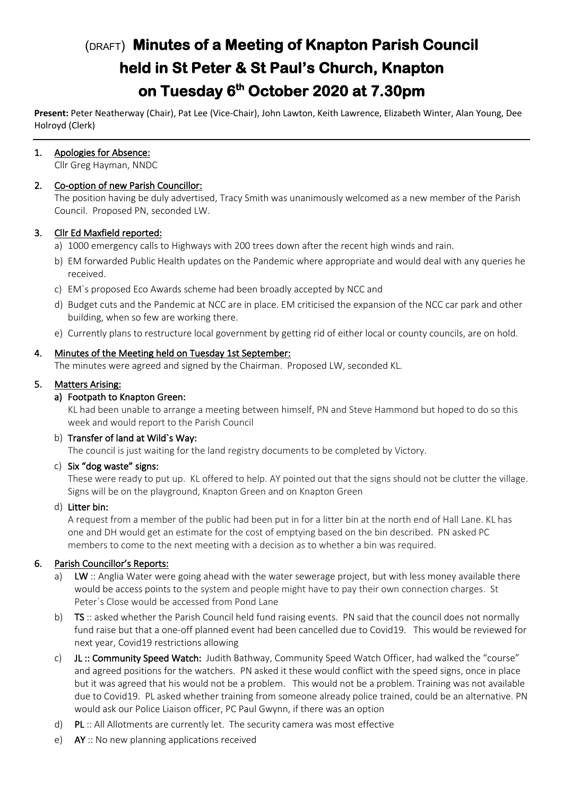# (DRAFT) **Minutes of a Meeting of Knapton Parish Council held in St Peter & St Paul's Church, Knapton on Tuesday 6th October 2020 at 7.30pm**

**Present:** Peter Neatherway (Chair), Pat Lee (Vice-Chair), John Lawton, Keith Lawrence, Elizabeth Winter, Alan Young, Dee Holroyd (Clerk)

# 1. Apologies for Absence:

Cllr Greg Hayman, NNDC

# 2. Co-option of new Parish Councillor:

The position having be duly advertised, Tracy Smith was unanimously welcomed as a new member of the Parish Council. Proposed PN, seconded LW.

# 3. Cllr Ed Maxfield reported:

- a) 1000 emergency calls to Highways with 200 trees down after the recent high winds and rain.
- b) EM forwarded Public Health updates on the Pandemic where appropriate and would deal with any queries he received.
- c) EM`s proposed Eco Awards scheme had been broadly accepted by NCC and
- d) Budget cuts and the Pandemic at NCC are in place. EM criticised the expansion of the NCC car park and other building, when so few are working there.
- e) Currently plans to restructure local government by getting rid of either local or county councils, are on hold.

# 4. Minutes of the Meeting held on Tuesday 1st September:

The minutes were agreed and signed by the Chairman. Proposed LW, seconded KL.

# 5. Matters Arising:

#### a) Footpath to Knapton Green:

KL had been unable to arrange a meeting between himself, PN and Steve Hammond but hoped to do so this week and would report to the Parish Council

# b) Transfer of land at Wild`s Way:

The council is just waiting for the land registry documents to be completed by Victory.

# c) Six "dog waste" signs:

These were ready to put up. KL offered to help. AY pointed out that the signs should not be clutter the village. Signs will be on the playground, Knapton Green and on Knapton Green

# d) Litter bin:

A request from a member of the public had been put in for a litter bin at the north end of Hall Lane. KL has one and DH would get an estimate for the cost of emptying based on the bin described. PN asked PC members to come to the next meeting with a decision as to whether a bin was required.

# 6. Parish Councillor's Reports:

- a) LW :: Anglia Water were going ahead with the water sewerage project, but with less money available there would be access points to the system and people might have to pay their own connection charges. St Peter`s Close would be accessed from Pond Lane
- b) TS :: asked whether the Parish Council held fund raising events. PN said that the council does not normally fund raise but that a one-off planned event had been cancelled due to Covid19. This would be reviewed for next year, Covid19 restrictions allowing
- c) JL :: Community Speed Watch: Judith Bathway, Community Speed Watch Officer, had walked the "course" and agreed positions for the watchers. PN asked it these would conflict with the speed signs, once in place but it was agreed that his would not be a problem. This would not be a problem. Training was not available due to Covid19. PL asked whether training from someone already police trained, could be an alternative. PN would ask our Police Liaison officer, PC Paul Gwynn, if there was an option
- d) PL  $::$  All Allotments are currently let. The security camera was most effective
- e) AY :: No new planning applications received